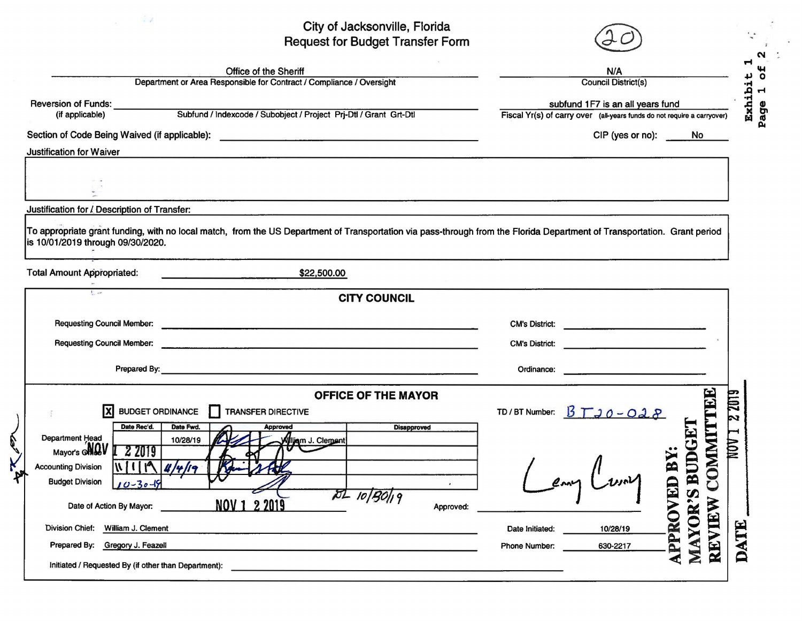## City of Jacksonville, Florida City of Jacksonville, Florida<br>Request for Budget Transfer Form  $(20)$

 $\sim$   $\sim$ 

|                                                               | <b>Heggest for Dauget Hansier Form</b>                                                                                                                                   | N/A<br><b>Council District(s)</b><br>subfund 1F7 is an all years fund                 |             |  |  |  |
|---------------------------------------------------------------|--------------------------------------------------------------------------------------------------------------------------------------------------------------------------|---------------------------------------------------------------------------------------|-------------|--|--|--|
|                                                               | <b>Office of the Sheriff</b><br>Department or Area Responsible for Contract / Compliance / Oversight                                                                     |                                                                                       |             |  |  |  |
|                                                               |                                                                                                                                                                          |                                                                                       |             |  |  |  |
|                                                               | Reversion of Funds:<br>(if annlicable) Subfund / Indexcode / Subobject / Project Prj-Dtl / Grant Grt-Dtl                                                                 | Fiscal Yr(s) of carry over (all-years funds do not require a carryover)               |             |  |  |  |
|                                                               |                                                                                                                                                                          | CIP (yes or no): No                                                                   |             |  |  |  |
| <b>Justification for Waiver</b>                               |                                                                                                                                                                          |                                                                                       |             |  |  |  |
|                                                               |                                                                                                                                                                          |                                                                                       |             |  |  |  |
| Justification for / Description of Transfer:                  |                                                                                                                                                                          |                                                                                       |             |  |  |  |
|                                                               | To appropriate grant funding, with no local match, from the US Department of Transportation via pass-through from the Florida Department of Transportation. Grant period |                                                                                       |             |  |  |  |
| is 10/01/2019 through 09/30/2020.                             |                                                                                                                                                                          |                                                                                       |             |  |  |  |
| <b>Total Amount Appropriated:</b>                             | \$22,500.00                                                                                                                                                              |                                                                                       |             |  |  |  |
| <b>L</b>                                                      | <b>CITY COUNCIL</b>                                                                                                                                                      |                                                                                       |             |  |  |  |
|                                                               |                                                                                                                                                                          |                                                                                       |             |  |  |  |
|                                                               |                                                                                                                                                                          | CM's District:                                                                        |             |  |  |  |
|                                                               |                                                                                                                                                                          | CM's District:                                                                        |             |  |  |  |
|                                                               |                                                                                                                                                                          | Ordinance: <u>www.communications.communications.communications.communications.com</u> |             |  |  |  |
|                                                               | <b>OFFICE OF THE MAYOR</b>                                                                                                                                               | $\mathbf{E}$                                                                          | <b>2019</b> |  |  |  |
| Ix                                                            | <b>BUDGET ORDINANCE</b><br>TRANSFER DIRECTIVE                                                                                                                            | TD/BT Number: $\cancel{B} \top 30 - 028$                                              | Þ           |  |  |  |
|                                                               | Date Fwd.<br>Approved                                                                                                                                                    |                                                                                       |             |  |  |  |
| Date Rec'd.<br>Department Head                                | <b>Disapproved</b>                                                                                                                                                       |                                                                                       |             |  |  |  |
| Mayor's <b>ONQV I</b> 2 2019                                  | 10/28/19<br>Wiljam J. Clement                                                                                                                                            |                                                                                       | LLAM        |  |  |  |
|                                                               | N119/4/4/9                                                                                                                                                               |                                                                                       |             |  |  |  |
| <b>Budget Division</b><br>$10 - 30 - 19$                      |                                                                                                                                                                          | COMMIT                                                                                |             |  |  |  |
| Date of Action By Mayor:                                      | $72 - 10 90 $ 19<br>NOV 1 2 2019<br>Approved:                                                                                                                            | S BUDGE<br>ED BY                                                                      |             |  |  |  |
| <b>Division Chief:</b><br>William J. Clement                  |                                                                                                                                                                          | Date Initiated:<br>10/28/19                                                           |             |  |  |  |
| <b>Accounting Division</b><br>Prepared By: Gregory J. Feazell |                                                                                                                                                                          | MAYOR'<br>REVIEW<br>APPROV<br>630-2217<br>Phone Number:                               | DATE        |  |  |  |

 $\mathbf{p}_i$